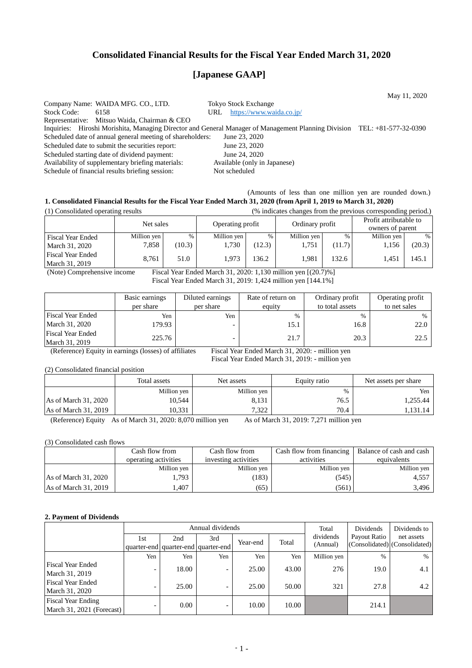## **Consolidated Financial Results for the Fiscal Year Ended March 31, 2020**

# **[Japanese GAAP]**

May 11, 2020 Company Name: WAIDA MFG. CO., LTD. Tokyo Stock Exchange Stock Code: 6158 URL <https://www.waida.co.jp/> Representative: Mitsuo Waida, Chairman & CEO Inquiries: Hiroshi Morishita, Managing Director and General Manager of Management Planning Division TEL: +81-577-32-0390<br>Scheduled date of annual general meeting of shareholders: June 23, 2020 Scheduled date of annual general meeting of shareholders: Scheduled date to submit the securities report: June 23, 2020 Scheduled starting date of dividend payment: June 24, 2020<br>Availability of supplementary briefing materials: Available (only in Japanese) Availability of supplementary briefing materials: Schedule of financial results briefing session: Not scheduled

### (Amounts of less than one million yen are rounded down.) **1. Consolidated Financial Results for the Fiscal Year Ended March 31, 2020 (from April 1, 2019 to March 31, 2020)**

| (1) Consolidated operating results         |             | (% indicates changes from the previous corresponding period.) |                  |        |             |        |                 |        |                                            |  |
|--------------------------------------------|-------------|---------------------------------------------------------------|------------------|--------|-------------|--------|-----------------|--------|--------------------------------------------|--|
|                                            | Net sales   |                                                               | Operating profit |        |             |        | Ordinary profit |        | Profit attributable to<br>owners of parent |  |
| <b>Fiscal Year Ended</b>                   | Million yen | $\%$                                                          | Million yen      | %      | Million yen | $\%$   | Million yen     | $\%$   |                                            |  |
| March 31, 2020                             | 7,858       | (10.3)                                                        | 1,730            | (12.3) | 1,751       | (11.7) | 1,156           | (20.3) |                                            |  |
| <b>Fiscal Year Ended</b><br>March 31, 2019 | 8.761       | 51.0                                                          | 1.973            | 136.2  | 1.981       | 132.6  | 1.451           | 145.1  |                                            |  |

(Note) Comprehensive income Fiscal Year Ended March 31, 2020: 1,130 million yen [(20.7)%] Fiscal Year Ended March 31, 2019: 1,424 million yen [144.1%]

|                                            | Basic earnings | Diluted earnings         | Rate of return on | Ordinary profit | Operating profit |
|--------------------------------------------|----------------|--------------------------|-------------------|-----------------|------------------|
|                                            | per share      | per share                | equity            | to total assets | to net sales     |
| <b>Fiscal Year Ended</b>                   | Yen            | Yen                      | $\%$              | $\%$            | $\%$             |
| March 31, 2020                             | 179.93         | $\overline{\phantom{0}}$ | 15.1              | 16.8            | 22.0             |
| <b>Fiscal Year Ended</b><br>March 31, 2019 | 225.76         |                          | 21.7              | 20.3            | 22.5             |

(Reference) Equity in earnings (losses) of affiliates Fiscal Year Ended March 31, 2020: - million yen

Fiscal Year Ended March 31, 2019: - million yen

(2) Consolidated financial position

|                        | Total assets | Net assets  | Equity ratio | Net assets per share |  |
|------------------------|--------------|-------------|--------------|----------------------|--|
|                        | Million yen  | Million yen | %            | Yen                  |  |
| As of March 31, 2020   | 10.544       | 8,131       | 76.5         | 1,255.44             |  |
| As of March $31, 2019$ | 10.331       | 7.322       | 70.4         | 1,131.14             |  |

(Reference) Equity As of March 31, 2020: 8,070 million yen As of March 31, 2019: 7,271 million yen

(3) Consolidated cash flows

|                      | Cash flow from       | Cash flow from       | Cash flow from financing | Balance of cash and cash |
|----------------------|----------------------|----------------------|--------------------------|--------------------------|
|                      | operating activities | investing activities | activities               | equivalents              |
|                      | Million yen          | Million yen          | Million yen              | Million yen              |
| As of March 31, 2020 | 1.793                | (183)                | (545)                    | 4.557                    |
| As of March 31, 2019 | 1.407                | (65)                 | (561)                    | 3,496                    |

### **2. Payment of Dividends**

|                                                        |                          |       | Annual dividends                    |          |       | Total                 | Dividends    | Dividends to                                |
|--------------------------------------------------------|--------------------------|-------|-------------------------------------|----------|-------|-----------------------|--------------|---------------------------------------------|
|                                                        | 1st                      | 2nd   | 3rd                                 | Year-end | Total | dividends<br>(Annual) | Payout Ratio | net assets<br>(Consolidated) (Consolidated) |
|                                                        |                          |       | quarter-end quarter-end quarter-end |          |       |                       |              |                                             |
|                                                        | Yen                      | Yen   | Yen                                 | Yen      | Yen   | Million yen           | $\%$         | $\frac{0}{0}$                               |
| Fiscal Year Ended<br>March 31, 2019                    | -                        | 18.00 | -                                   | 25.00    | 43.00 | 276                   | 19.0         | 4.1                                         |
| <b>Fiscal Year Ended</b><br>March 31, 2020             |                          | 25.00 | $\overline{\phantom{0}}$            | 25.00    | 50.00 | 321                   | 27.8         | 4.2                                         |
| <b>Fiscal Year Ending</b><br>March 31, 2021 (Forecast) | $\overline{\phantom{0}}$ | 0.00  | $\overline{\phantom{0}}$            | 10.00    | 10.00 |                       | 214.1        |                                             |